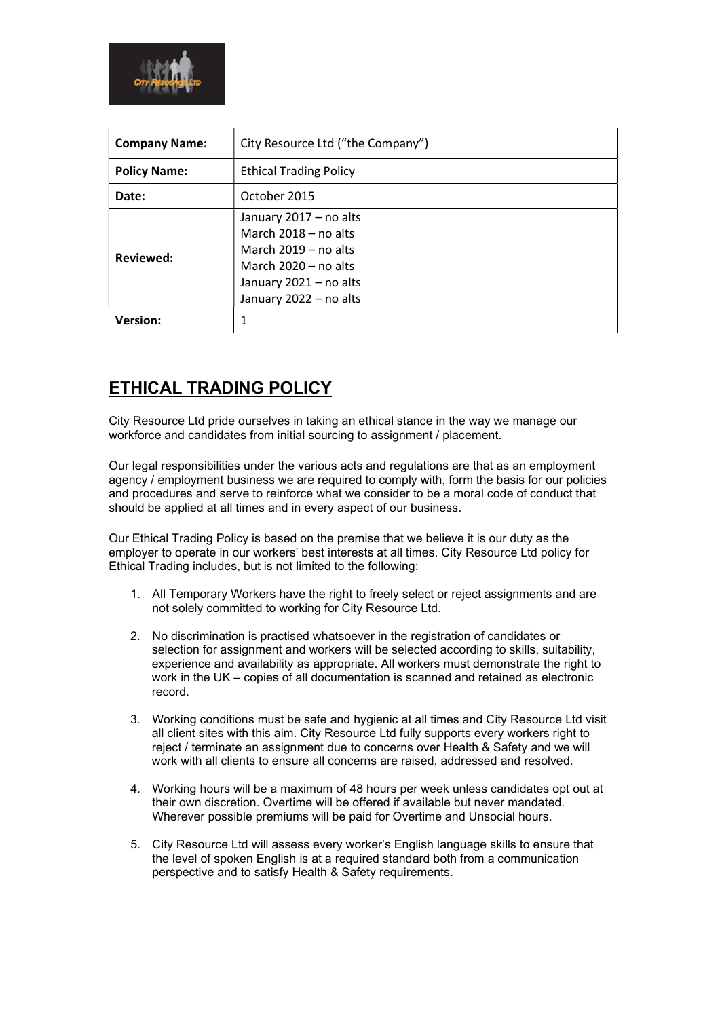

| <b>Company Name:</b> | City Resource Ltd ("the Company")                                                                                                                        |
|----------------------|----------------------------------------------------------------------------------------------------------------------------------------------------------|
| <b>Policy Name:</b>  | <b>Ethical Trading Policy</b>                                                                                                                            |
| Date:                | October 2015                                                                                                                                             |
| Reviewed:            | January 2017 - no alts<br>March $2018 - no$ alts<br>March $2019 - no$ alts<br>March $2020 - no$ alts<br>January 2021 - no alts<br>January 2022 - no alts |
| <b>Version:</b>      | 1                                                                                                                                                        |

## ETHICAL TRADING POLICY

City Resource Ltd pride ourselves in taking an ethical stance in the way we manage our workforce and candidates from initial sourcing to assignment / placement.

Our legal responsibilities under the various acts and regulations are that as an employment agency / employment business we are required to comply with, form the basis for our policies and procedures and serve to reinforce what we consider to be a moral code of conduct that should be applied at all times and in every aspect of our business.

Our Ethical Trading Policy is based on the premise that we believe it is our duty as the employer to operate in our workers' best interests at all times. City Resource Ltd policy for Ethical Trading includes, but is not limited to the following:

- 1. All Temporary Workers have the right to freely select or reject assignments and are not solely committed to working for City Resource Ltd.
- 2. No discrimination is practised whatsoever in the registration of candidates or selection for assignment and workers will be selected according to skills, suitability, experience and availability as appropriate. All workers must demonstrate the right to work in the UK – copies of all documentation is scanned and retained as electronic record.
- 3. Working conditions must be safe and hygienic at all times and City Resource Ltd visit all client sites with this aim. City Resource Ltd fully supports every workers right to reject / terminate an assignment due to concerns over Health & Safety and we will work with all clients to ensure all concerns are raised, addressed and resolved.
- 4. Working hours will be a maximum of 48 hours per week unless candidates opt out at their own discretion. Overtime will be offered if available but never mandated. Wherever possible premiums will be paid for Overtime and Unsocial hours.
- 5. City Resource Ltd will assess every worker's English language skills to ensure that the level of spoken English is at a required standard both from a communication perspective and to satisfy Health & Safety requirements.